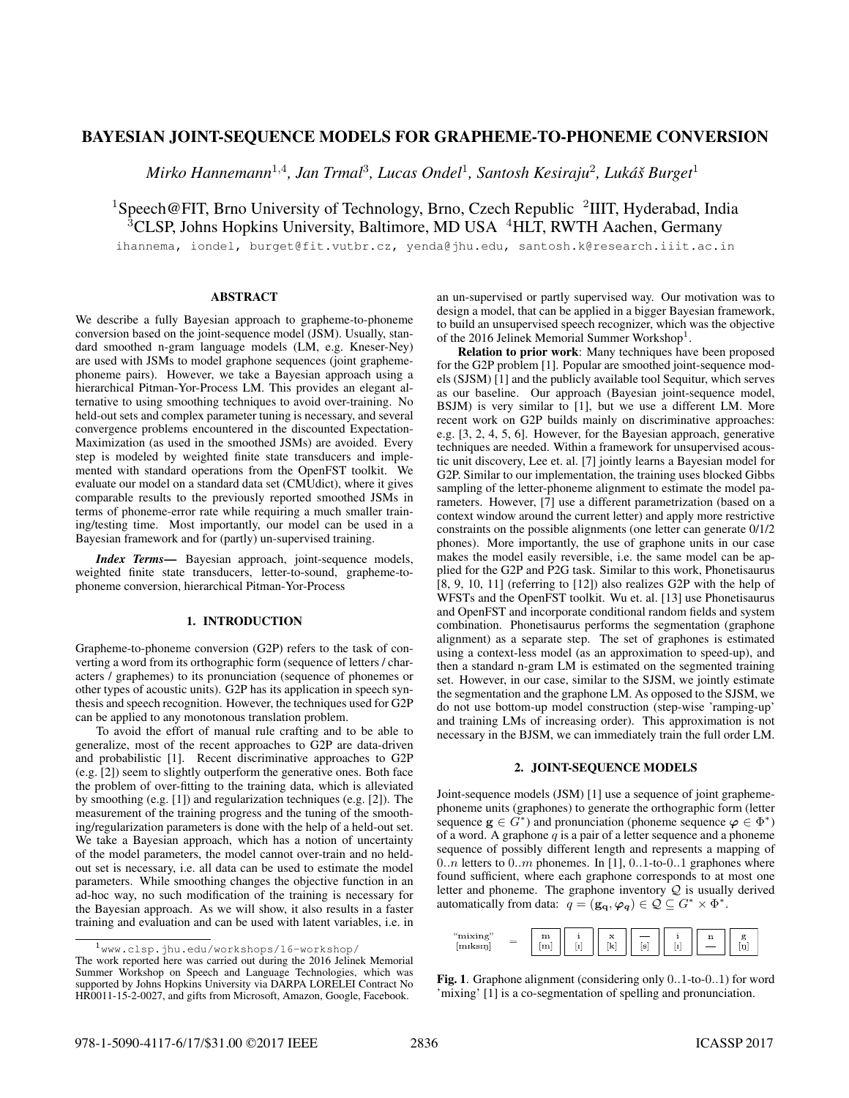# BAYESIAN JOINT-SEQUENCE MODELS FOR GRAPHEME-TO-PHONEME CONVERSION

Mirko Hannemann<sup>1,4</sup>, Jan Trmal<sup>3</sup>, Lucas Ondel<sup>1</sup>, Santosh Kesiraju<sup>2</sup>, Lukáš Burget<sup>1</sup>

<sup>1</sup>Speech@FIT, Brno University of Technology, Brno, Czech Republic <sup>2</sup>IIIT, Hyderabad, India  $3CLSP$ , Johns Hopkins University, Baltimore, MD USA  $4$ HLT, RWTH Aachen, Germany

ihannema, iondel, burget@fit.vutbr.cz, yenda@jhu.edu, santosh.k@research.iiit.ac.in

## ABSTRACT

We describe a fully Bayesian approach to grapheme-to-phoneme conversion based on the joint-sequence model (JSM). Usually, standard smoothed n-gram language models (LM, e.g. Kneser-Ney) are used with JSMs to model graphone sequences (joint graphemephoneme pairs). However, we take a Bayesian approach using a hierarchical Pitman-Yor-Process LM. This provides an elegant alternative to using smoothing techniques to avoid over-training. No held-out sets and complex parameter tuning is necessary, and several convergence problems encountered in the discounted Expectation-Maximization (as used in the smoothed JSMs) are avoided. Every step is modeled by weighted finite state transducers and implemented with standard operations from the OpenFST toolkit. We evaluate our model on a standard data set (CMUdict), where it gives comparable results to the previously reported smoothed JSMs in terms of phoneme-error rate while requiring a much smaller training/testing time. Most importantly, our model can be used in a Bayesian framework and for (partly) un-supervised training.

*Index Terms*— Bayesian approach, joint-sequence models, weighted finite state transducers, letter-to-sound, grapheme-tophoneme conversion, hierarchical Pitman-Yor-Process

### 1. INTRODUCTION

Grapheme-to-phoneme conversion (G2P) refers to the task of converting a word from its orthographic form (sequence of letters / characters / graphemes) to its pronunciation (sequence of phonemes or other types of acoustic units). G2P has its application in speech synthesis and speech recognition. However, the techniques used for G2P can be applied to any monotonous translation problem.

To avoid the effort of manual rule crafting and to be able to generalize, most of the recent approaches to G2P are data-driven and probabilistic [1]. Recent discriminative approaches to G2P (e.g. [2]) seem to slightly outperform the generative ones. Both face the problem of over-fitting to the training data, which is alleviated by smoothing (e.g. [1]) and regularization techniques (e.g. [2]). The measurement of the training progress and the tuning of the smoothing/regularization parameters is done with the help of a held-out set. We take a Bayesian approach, which has a notion of uncertainty of the model parameters, the model cannot over-train and no heldout set is necessary, i.e. all data can be used to estimate the model parameters. While smoothing changes the objective function in an ad-hoc way, no such modification of the training is necessary for the Bayesian approach. As we will show, it also results in a faster training and evaluation and can be used with latent variables, i.e. in an un-supervised or partly supervised way. Our motivation was to design a model, that can be applied in a bigger Bayesian framework, to build an unsupervised speech recognizer, which was the objective of the 2016 Jelinek Memorial Summer Workshop<sup>1</sup>.

Relation to prior work: Many techniques have been proposed for the G2P problem [1]. Popular are smoothed joint-sequence models (SJSM) [1] and the publicly available tool Sequitur, which serves as our baseline. Our approach (Bayesian joint-sequence model, BSJM) is very similar to [1], but we use a different LM. More recent work on G2P builds mainly on discriminative approaches: e.g. [3, 2, 4, 5, 6]. However, for the Bayesian approach, generative techniques are needed. Within a framework for unsupervised acoustic unit discovery, Lee et. al. [7] jointly learns a Bayesian model for G2P. Similar to our implementation, the training uses blocked Gibbs sampling of the letter-phoneme alignment to estimate the model parameters. However, [7] use a different parametrization (based on a context window around the current letter) and apply more restrictive constraints on the possible alignments (one letter can generate 0/1/2 phones). More importantly, the use of graphone units in our case makes the model easily reversible, i.e. the same model can be applied for the G2P and P2G task. Similar to this work, Phonetisaurus [8, 9, 10, 11] (referring to [12]) also realizes G2P with the help of WFSTs and the OpenFST toolkit. Wu et. al. [13] use Phonetisaurus and OpenFST and incorporate conditional random fields and system combination. Phonetisaurus performs the segmentation (graphone alignment) as a separate step. The set of graphones is estimated using a context-less model (as an approximation to speed-up), and then a standard n-gram LM is estimated on the segmented training set. However, in our case, similar to the SJSM, we jointly estimate the segmentation and the graphone LM. As opposed to the SJSM, we do not use bottom-up model construction (step-wise 'ramping-up' and training LMs of increasing order). This approximation is not necessary in the BJSM, we can immediately train the full order LM.

#### 2. JOINT-SEQUENCE MODELS

Joint-sequence models (JSM) [1] use a sequence of joint graphemephoneme units (graphones) to generate the orthographic form (letter sequence  $\mathbf{g} \in G^*$  and pronunciation (phoneme sequence  $\varphi \in \Phi^*$ ) of a word. A graphone  $q$  is a pair of a letter sequence and a phoneme sequence of possibly different length and represents a mapping of  $0..n$  letters to  $0..m$  phonemes. In [1],  $0..1$ -to- $0..1$  graphones where found sufficient, where each graphone corresponds to at most one letter and phoneme. The graphone inventory  $Q$  is usually derived automatically from data:  $q = (\mathbf{g}_q, \varphi_q) \in \mathcal{Q} \subseteq G^* \times \Phi^*$ .



Fig. 1. Graphone alignment (considering only 0..1-to-0..1) for word 'mixing' [1] is a co-segmentation of spelling and pronunciation.

 $1_{\texttt{WWW}.~\texttt{clsp.jhu.edu/workshops}/16-\texttt{workshop}}/$ The work reported here was carried out during the 2016 Jelinek Memorial Summer Workshop on Speech and Language Technologies, which was supported by Johns Hopkins University via DARPA LORELEI Contract No HR0011-15-2-0027, and gifts from Microsoft, Amazon, Google, Facebook.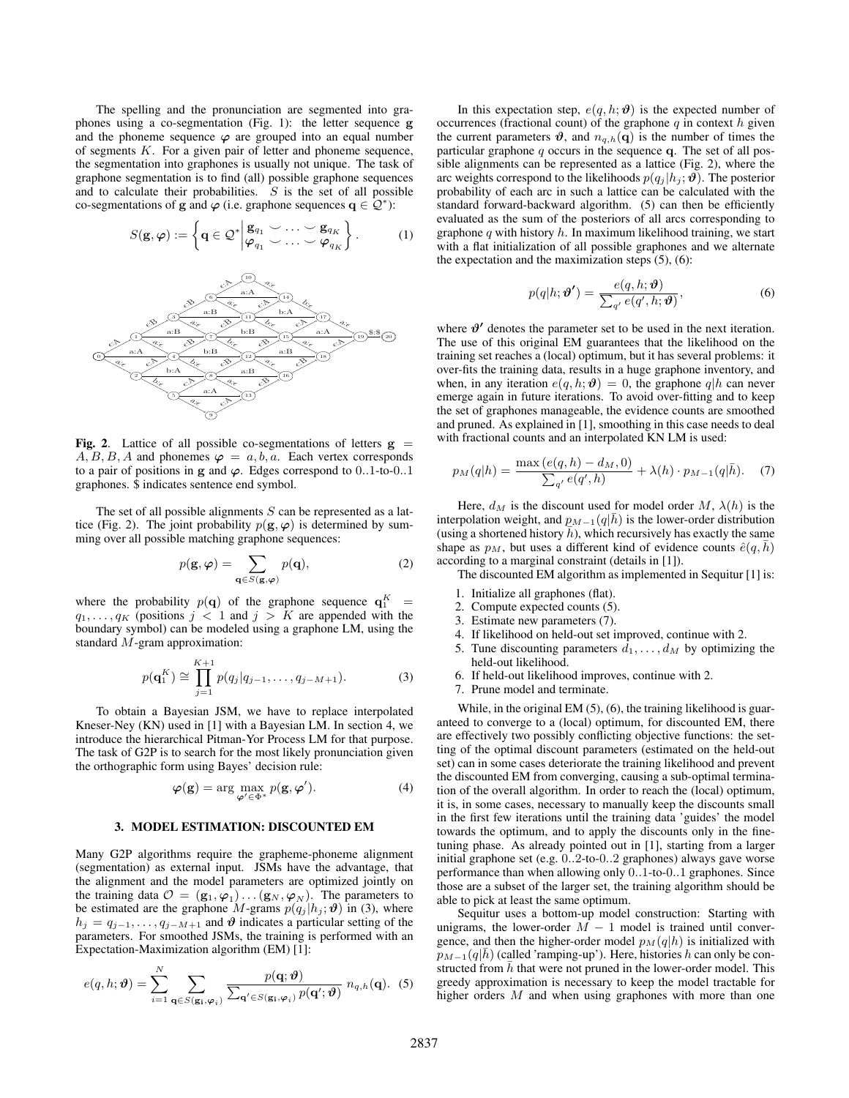The spelling and the pronunciation are segmented into graphones using a co-segmentation (Fig. 1): the letter sequence g and the phoneme sequence  $\varphi$  are grouped into an equal number of segments  $K$ . For a given pair of letter and phoneme sequence, the segmentation into graphones is usually not unique. The task of graphone segmentation is to find (all) possible graphone sequences and to calculate their probabilities.  $S$  is the set of all possible co-segmentations of g and  $\varphi$  (i.e. graphone sequences  $\mathbf{q} \in \mathcal{Q}^*$ ):

$$
S(\mathbf{g},\boldsymbol{\varphi}) := \left\{ \mathbf{q} \in \mathcal{Q}^* \middle| \begin{matrix} \mathbf{g}_{q_1} & \cdots & \mathbf{g}_{q_K} \\ \boldsymbol{\varphi}_{q_1} & \cdots & \boldsymbol{\varphi}_{q_K} \end{matrix} \right\}.
$$
 (1)



Fig. 2. Lattice of all possible co-segmentations of letters  $g =$  $A, B, B, A$  and phonemes  $\varphi = a, b, a$ . Each vertex corresponds to a pair of positions in g and  $\varphi$ . Edges correspond to 0..1-to-0..1 graphones. \$ indicates sentence end symbol.

The set of all possible alignments  $S$  can be represented as a lattice (Fig. 2). The joint probability  $p(\mathbf{g}, \varphi)$  is determined by summing over all possible matching graphone sequences:

$$
p(\mathbf{g}, \boldsymbol{\varphi}) = \sum_{\mathbf{q} \in S(\mathbf{g}, \boldsymbol{\varphi})} p(\mathbf{q}),
$$
 (2)

where the probability  $p(\mathbf{q})$  of the graphone sequence  $\mathbf{q}_1^K$  =  $q_1, \ldots, q_K$  (positions  $j < 1$  and  $j > K$  are appended with the boundary symbol) can be modeled using a graphone LM, using the standard M-gram approximation:

$$
p(\mathbf{q}_1^K) \cong \prod_{j=1}^{K+1} p(q_j | q_{j-1}, \dots, q_{j-M+1}).
$$
 (3)

To obtain a Bayesian JSM, we have to replace interpolated Kneser-Ney (KN) used in [1] with a Bayesian LM. In section 4, we introduce the hierarchical Pitman-Yor Process LM for that purpose. The task of G2P is to search for the most likely pronunciation given the orthographic form using Bayes' decision rule:

$$
\varphi(\mathbf{g}) = \arg \max_{\boldsymbol{\varphi}' \in \Phi^*} p(\mathbf{g}, \boldsymbol{\varphi}'). \tag{4}
$$

### 3. MODEL ESTIMATION: DISCOUNTED EM

Many G2P algorithms require the grapheme-phoneme alignment (segmentation) as external input. JSMs have the advantage, that the alignment and the model parameters are optimized jointly on the training data  $\mathcal{O} = (\mathbf{g}_1, \varphi_1) \dots (\mathbf{g}_N, \varphi_N)$ . The parameters to be estimated are the graphone M-grams  $p(q_j | h_j; \theta)$  in (3), where  $h_j = q_{j-1}, \ldots, q_{j-M+1}$  and  $\vartheta$  indicates a particular setting of the parameters. For smoothed JSMs, the training is performed with an Expectation-Maximization algorithm (EM) [1]:

$$
e(q, h; \boldsymbol{\vartheta}) = \sum_{i=1}^{N} \sum_{\mathbf{q} \in S(\mathbf{g_i}, \boldsymbol{\varphi}_i)} \frac{p(\mathbf{q}; \boldsymbol{\vartheta})}{\sum_{\mathbf{q'} \in S(\mathbf{g_i}, \boldsymbol{\varphi}_i)} p(\mathbf{q'}; \boldsymbol{\vartheta})} n_{q, h}(\mathbf{q}).
$$
 (5)

In this expectation step,  $e(q, h; \theta)$  is the expected number of occurrences (fractional count) of the graphone  $q$  in context  $h$  given the current parameters  $\theta$ , and  $n_{q,h}(\mathbf{q})$  is the number of times the particular graphone  $q$  occurs in the sequence  $q$ . The set of all possible alignments can be represented as a lattice (Fig. 2), where the arc weights correspond to the likelihoods  $p(q_i | h_i; \theta)$ . The posterior probability of each arc in such a lattice can be calculated with the standard forward-backward algorithm. (5) can then be efficiently evaluated as the sum of the posteriors of all arcs corresponding to graphone q with history  $h$ . In maximum likelihood training, we start with a flat initialization of all possible graphones and we alternate the expectation and the maximization steps  $(5)$ ,  $(6)$ :

$$
p(q|h; \boldsymbol{\vartheta'}) = \frac{e(q, h; \boldsymbol{\vartheta})}{\sum_{q'} e(q', h; \boldsymbol{\vartheta})},
$$
(6)

where  $\vartheta'$  denotes the parameter set to be used in the next iteration. The use of this original EM guarantees that the likelihood on the training set reaches a (local) optimum, but it has several problems: it over-fits the training data, results in a huge graphone inventory, and when, in any iteration  $e(q, h; \theta) = 0$ , the graphone  $q|h$  can never emerge again in future iterations. To avoid over-fitting and to keep the set of graphones manageable, the evidence counts are smoothed and pruned. As explained in [1], smoothing in this case needs to deal with fractional counts and an interpolated KN LM is used:

$$
p_M(q|h) = \frac{\max(e(q, h) - d_M, 0)}{\sum_{q'} e(q', h)} + \lambda(h) \cdot p_{M-1}(q|\bar{h}). \tag{7}
$$

Here,  $d_M$  is the discount used for model order M,  $\lambda(h)$  is the interpolation weight, and  $p_{M-1}(q|h)$  is the lower-order distribution (using a shortened history  $\bar{h}$ ), which recursively has exactly the same shape as  $p_M$ , but uses a different kind of evidence counts  $\hat{e}(q, h)$ according to a marginal constraint (details in [1]).

The discounted EM algorithm as implemented in Sequitur [1] is:

- 1. Initialize all graphones (flat).
- 2. Compute expected counts (5).
- 3. Estimate new parameters (7).
- 4. If likelihood on held-out set improved, continue with 2.
- 5. Tune discounting parameters  $d_1, \ldots, d_M$  by optimizing the held-out likelihood.
- 6. If held-out likelihood improves, continue with 2.
- 7. Prune model and terminate.

While, in the original EM (5), (6), the training likelihood is guaranteed to converge to a (local) optimum, for discounted EM, there are effectively two possibly conflicting objective functions: the setting of the optimal discount parameters (estimated on the held-out set) can in some cases deteriorate the training likelihood and prevent the discounted EM from converging, causing a sub-optimal termination of the overall algorithm. In order to reach the (local) optimum, it is, in some cases, necessary to manually keep the discounts small in the first few iterations until the training data 'guides' the model towards the optimum, and to apply the discounts only in the finetuning phase. As already pointed out in [1], starting from a larger initial graphone set (e.g. 0..2-to-0..2 graphones) always gave worse performance than when allowing only 0..1-to-0..1 graphones. Since those are a subset of the larger set, the training algorithm should be able to pick at least the same optimum.

Sequitur uses a bottom-up model construction: Starting with unigrams, the lower-order  $\overline{M} - 1$  model is trained until convergence, and then the higher-order model  $p_M(q|h)$  is initialized with  $p_{M-1}(q|\bar{h})$  (called 'ramping-up'). Here, histories h can only be constructed from  $h$  that were not pruned in the lower-order model. This greedy approximation is necessary to keep the model tractable for higher orders M and when using graphones with more than one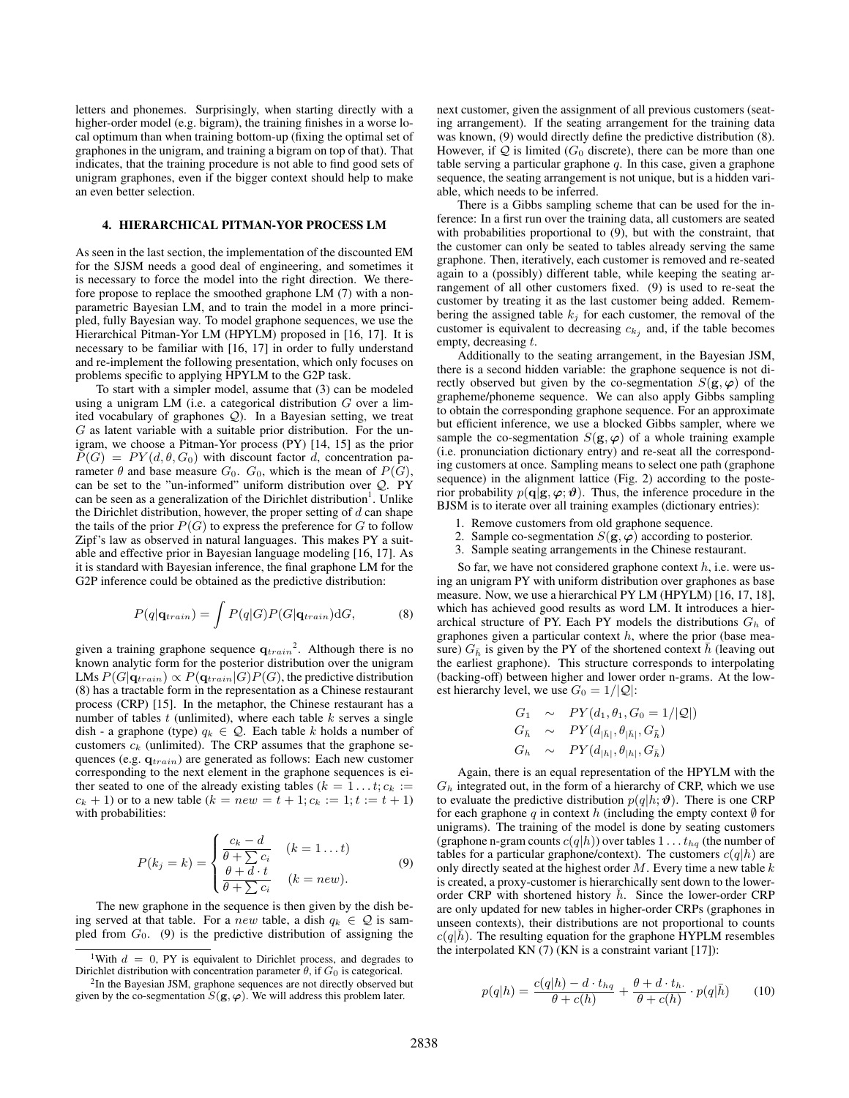letters and phonemes. Surprisingly, when starting directly with a higher-order model (e.g. bigram), the training finishes in a worse local optimum than when training bottom-up (fixing the optimal set of graphones in the unigram, and training a bigram on top of that). That indicates, that the training procedure is not able to find good sets of unigram graphones, even if the bigger context should help to make an even better selection.

### 4. HIERARCHICAL PITMAN-YOR PROCESS LM

As seen in the last section, the implementation of the discounted EM for the SJSM needs a good deal of engineering, and sometimes it is necessary to force the model into the right direction. We therefore propose to replace the smoothed graphone LM (7) with a nonparametric Bayesian LM, and to train the model in a more principled, fully Bayesian way. To model graphone sequences, we use the Hierarchical Pitman-Yor LM (HPYLM) proposed in [16, 17]. It is necessary to be familiar with [16, 17] in order to fully understand and re-implement the following presentation, which only focuses on problems specific to applying HPYLM to the G2P task.

To start with a simpler model, assume that (3) can be modeled using a unigram LM (i.e. a categorical distribution  $G$  over a limited vocabulary of graphones Q). In a Bayesian setting, we treat  $G$  as latent variable with a suitable prior distribution. For the unigram, we choose a Pitman-Yor process (PY) [14, 15] as the prior  $P(G) = PY(d, \theta, G_0)$  with discount factor d, concentration parameter  $\theta$  and base measure  $G_0$ .  $G_0$ , which is the mean of  $P(G)$ , can be set to the "un-informed" uniform distribution over Q. PY can be seen as a generalization of the Dirichlet distribution<sup>1</sup>. Unlike the Dirichlet distribution, however, the proper setting of  $d$  can shape the tails of the prior  $P(G)$  to express the preference for G to follow Zipf's law as observed in natural languages. This makes PY a suitable and effective prior in Bayesian language modeling [16, 17]. As it is standard with Bayesian inference, the final graphone LM for the G2P inference could be obtained as the predictive distribution:

$$
P(q|\mathbf{q}_{train}) = \int P(q|G)P(G|\mathbf{q}_{train})dG, \tag{8}
$$

given a training graphone sequence  $q_{train}^2$ . Although there is no known analytic form for the posterior distribution over the unigram LMs  $P(G|\mathbf{q}_{train}) \propto P(\mathbf{q}_{train}|G)P(G)$ , the predictive distribution (8) has a tractable form in the representation as a Chinese restaurant process (CRP) [15]. In the metaphor, the Chinese restaurant has a number of tables  $t$  (unlimited), where each table  $k$  serves a single dish - a graphone (type)  $q_k \in \mathcal{Q}$ . Each table k holds a number of customers  $c_k$  (unlimited). The CRP assumes that the graphone sequences (e.g.  $q_{train}$ ) are generated as follows: Each new customer corresponding to the next element in the graphone sequences is either seated to one of the already existing tables ( $k = 1...t; c_k :=$  $c_k + 1$ ) or to a new table  $(k = new = t + 1; c_k := 1; t := t + 1)$ with probabilities:

$$
P(k_j = k) = \begin{cases} \frac{c_k - d}{\theta + \sum c_i} & (k = 1 \dots t) \\ \frac{\theta + d \cdot t}{\theta + \sum c_i} & (k = new). \end{cases} \tag{9}
$$

The new graphone in the sequence is then given by the dish being served at that table. For a *new* table, a dish  $q_k \in \mathcal{Q}$  is sampled from  $G_0$ . (9) is the predictive distribution of assigning the next customer, given the assignment of all previous customers (seating arrangement). If the seating arrangement for the training data was known, (9) would directly define the predictive distribution (8). However, if  $Q$  is limited ( $G_0$  discrete), there can be more than one table serving a particular graphone  $q$ . In this case, given a graphone sequence, the seating arrangement is not unique, but is a hidden variable, which needs to be inferred.

There is a Gibbs sampling scheme that can be used for the inference: In a first run over the training data, all customers are seated with probabilities proportional to  $(9)$ , but with the constraint, that the customer can only be seated to tables already serving the same graphone. Then, iteratively, each customer is removed and re-seated again to a (possibly) different table, while keeping the seating arrangement of all other customers fixed. (9) is used to re-seat the customer by treating it as the last customer being added. Remembering the assigned table  $k_j$  for each customer, the removal of the customer is equivalent to decreasing  $c_{k_j}$  and, if the table becomes empty, decreasing t.

Additionally to the seating arrangement, in the Bayesian JSM, there is a second hidden variable: the graphone sequence is not directly observed but given by the co-segmentation  $S(\mathbf{g}, \varphi)$  of the grapheme/phoneme sequence. We can also apply Gibbs sampling to obtain the corresponding graphone sequence. For an approximate but efficient inference, we use a blocked Gibbs sampler, where we sample the co-segmentation  $S(g, \varphi)$  of a whole training example (i.e. pronunciation dictionary entry) and re-seat all the corresponding customers at once. Sampling means to select one path (graphone sequence) in the alignment lattice (Fig. 2) according to the posterior probability  $p(\mathbf{q}|\mathbf{g}, \boldsymbol{\varphi}; \boldsymbol{\vartheta})$ . Thus, the inference procedure in the BJSM is to iterate over all training examples (dictionary entries):

- 1. Remove customers from old graphone sequence.
- 2. Sample co-segmentation  $S(\mathbf{g}, \boldsymbol{\varphi})$  according to posterior.
- 3. Sample seating arrangements in the Chinese restaurant.

So far, we have not considered graphone context  $h$ , i.e. were using an unigram PY with uniform distribution over graphones as base measure. Now, we use a hierarchical PY LM (HPYLM) [16, 17, 18], which has achieved good results as word LM. It introduces a hierarchical structure of PY. Each PY models the distributions  $G_h$  of graphones given a particular context  $h$ , where the prior (base measure)  $G_{\bar{h}}$  is given by the PY of the shortened context h (leaving out the earliest graphone). This structure corresponds to interpolating (backing-off) between higher and lower order n-grams. At the lowest hierarchy level, we use  $G_0 = 1/|Q|$ :

$$
G_1 \sim PY(d_1, \theta_1, G_0 = 1/|\mathcal{Q}|)
$$
  
\n
$$
G_{\bar{h}} \sim PY(d_{|\bar{h}|}, \theta_{|\bar{h}|}, G_{\bar{h}})
$$
  
\n
$$
G_h \sim PY(d_{|h|}, \theta_{|h|}, G_{\bar{h}})
$$

Again, there is an equal representation of the HPYLM with the  $G_h$  integrated out, in the form of a hierarchy of CRP, which we use to evaluate the predictive distribution  $p(q|h; \theta)$ . There is one CRP for each graphone q in context h (including the empty context  $\emptyset$  for unigrams). The training of the model is done by seating customers (graphone n-gram counts  $c(q|h)$ ) over tables  $1 \ldots t_{ha}$  (the number of tables for a particular graphone/context). The customers  $c(q|h)$  are only directly seated at the highest order  $M$ . Every time a new table  $k$ is created, a proxy-customer is hierarchically sent down to the lowerorder CRP with shortened history  $h$ . Since the lower-order CRP are only updated for new tables in higher-order CRPs (graphones in unseen contexts), their distributions are not proportional to counts  $c(q|h)$ . The resulting equation for the graphone HYPLM resembles the interpolated KN (7) (KN is a constraint variant [17]):

$$
p(q|h) = \frac{c(q|h) - d \cdot t_{hq}}{\theta + c(h)} + \frac{\theta + d \cdot t_h}{\theta + c(h)} \cdot p(q|\bar{h}) \tag{10}
$$

<sup>&</sup>lt;sup>1</sup>With  $d = 0$ , PY is equivalent to Dirichlet process, and degrades to Dirichlet distribution with concentration parameter  $\theta$ , if  $G_0$  is categorical.

<sup>&</sup>lt;sup>2</sup>In the Bayesian JSM, graphone sequences are not directly observed but given by the co-segmentation  $S(g, \varphi)$ . We will address this problem later.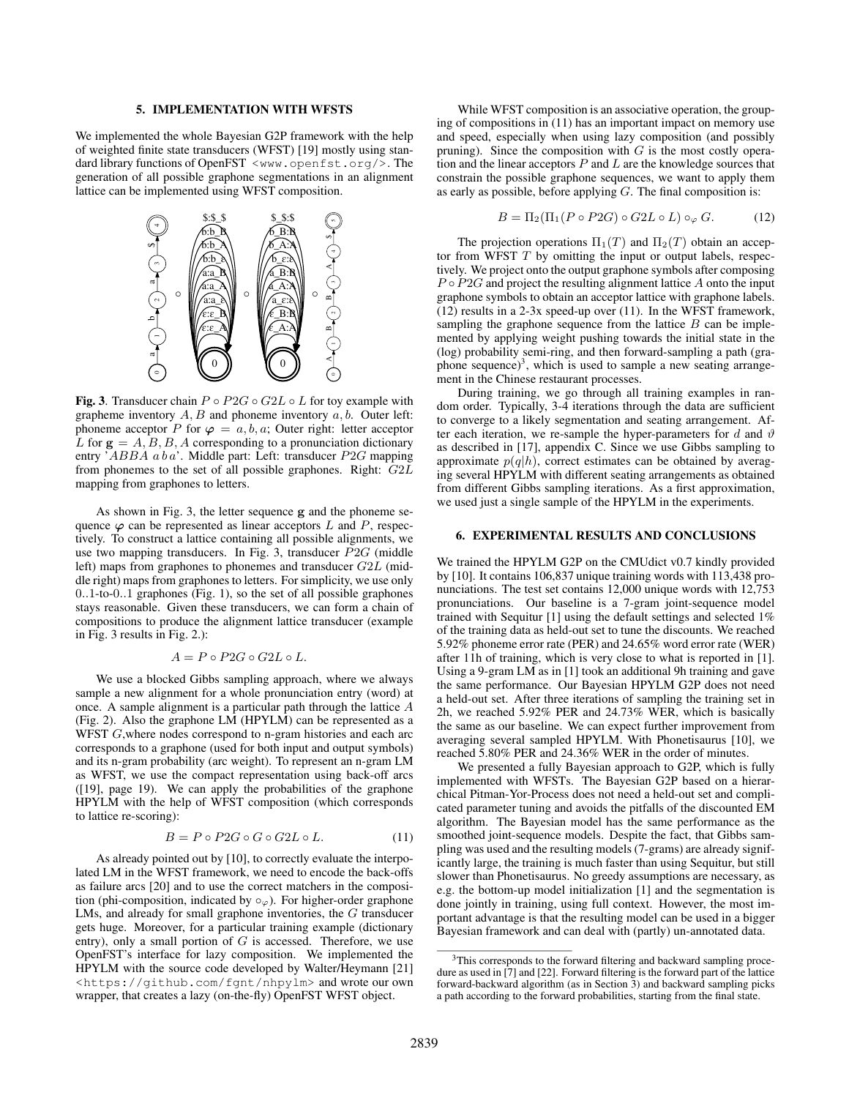#### 5. IMPLEMENTATION WITH WFSTS

We implemented the whole Bayesian G2P framework with the help of weighted finite state transducers (WFST) [19] mostly using standard library functions of OpenFST <www.openfst.org/>. The generation of all possible graphone segmentations in an alignment lattice can be implemented using WFST composition.



Fig. 3. Transducer chain  $P \circ P2G \circ G2L \circ L$  for toy example with grapheme inventory  $A, B$  and phoneme inventory  $a, b$ . Outer left: phoneme acceptor P for  $\varphi = a, b, a$ ; Outer right: letter acceptor L for  $g = A, B, B, A$  corresponding to a pronunciation dictionary entry 'ABBA a b a'. Middle part: Left: transducer P2G mapping from phonemes to the set of all possible graphones. Right: G2L mapping from graphones to letters.

As shown in Fig. 3, the letter sequence g and the phoneme sequence  $\varphi$  can be represented as linear acceptors L and P, respectively. To construct a lattice containing all possible alignments, we use two mapping transducers. In Fig. 3, transducer  $P2G$  (middle left) maps from graphones to phonemes and transducer G2L (middle right) maps from graphones to letters. For simplicity, we use only 0..1-to-0..1 graphones (Fig. 1), so the set of all possible graphones stays reasonable. Given these transducers, we can form a chain of compositions to produce the alignment lattice transducer (example in Fig. 3 results in Fig. 2.):

$$
A=P\circ P2G\circ G2L\circ L.
$$

We use a blocked Gibbs sampling approach, where we always sample a new alignment for a whole pronunciation entry (word) at once. A sample alignment is a particular path through the lattice A (Fig. 2). Also the graphone LM (HPYLM) can be represented as a WFST G, where nodes correspond to n-gram histories and each arc corresponds to a graphone (used for both input and output symbols) and its n-gram probability (arc weight). To represent an n-gram LM as WFST, we use the compact representation using back-off arcs ([19], page 19). We can apply the probabilities of the graphone HPYLM with the help of WFST composition (which corresponds to lattice re-scoring):

$$
B = P \circ P2G \circ G \circ G2L \circ L. \tag{11}
$$

As already pointed out by [10], to correctly evaluate the interpolated LM in the WFST framework, we need to encode the back-offs as failure arcs [20] and to use the correct matchers in the composition (phi-composition, indicated by  $\circ_{\varphi}$ ). For higher-order graphone LMs, and already for small graphone inventories, the G transducer gets huge. Moreover, for a particular training example (dictionary entry), only a small portion of  $G$  is accessed. Therefore, we use OpenFST's interface for lazy composition. We implemented the HPYLM with the source code developed by Walter/Heymann [21] <https://github.com/fgnt/nhpylm> and wrote our own wrapper, that creates a lazy (on-the-fly) OpenFST WFST object.

While WFST composition is an associative operation, the grouping of compositions in (11) has an important impact on memory use and speed, especially when using lazy composition (and possibly pruning). Since the composition with  $G$  is the most costly operation and the linear acceptors  $P$  and  $L$  are the knowledge sources that constrain the possible graphone sequences, we want to apply them as early as possible, before applying  $G$ . The final composition is:

$$
B = \Pi_2(\Pi_1(P \circ P2G) \circ G2L \circ L) \circ_{\varphi} G. \tag{12}
$$

The projection operations  $\Pi_1(T)$  and  $\Pi_2(T)$  obtain an acceptor from WFST  $T$  by omitting the input or output labels, respectively. We project onto the output graphone symbols after composing  $P \circ P 2G$  and project the resulting alignment lattice A onto the input graphone symbols to obtain an acceptor lattice with graphone labels. (12) results in a 2-3x speed-up over (11). In the WFST framework, sampling the graphone sequence from the lattice  $B$  can be implemented by applying weight pushing towards the initial state in the (log) probability semi-ring, and then forward-sampling a path (graphone sequence)<sup>3</sup>, which is used to sample a new seating arrangement in the Chinese restaurant processes.

During training, we go through all training examples in random order. Typically, 3-4 iterations through the data are sufficient to converge to a likely segmentation and seating arrangement. After each iteration, we re-sample the hyper-parameters for d and  $\vartheta$ as described in [17], appendix C. Since we use Gibbs sampling to approximate  $p(q|h)$ , correct estimates can be obtained by averaging several HPYLM with different seating arrangements as obtained from different Gibbs sampling iterations. As a first approximation, we used just a single sample of the HPYLM in the experiments.

## 6. EXPERIMENTAL RESULTS AND CONCLUSIONS

We trained the HPYLM G2P on the CMUdict v0.7 kindly provided by [10]. It contains 106,837 unique training words with 113,438 pronunciations. The test set contains 12,000 unique words with 12,753 pronunciations. Our baseline is a 7-gram joint-sequence model trained with Sequitur [1] using the default settings and selected 1% of the training data as held-out set to tune the discounts. We reached 5.92% phoneme error rate (PER) and 24.65% word error rate (WER) after 11h of training, which is very close to what is reported in [1]. Using a 9-gram LM as in [1] took an additional 9h training and gave the same performance. Our Bayesian HPYLM G2P does not need a held-out set. After three iterations of sampling the training set in 2h, we reached 5.92% PER and 24.73% WER, which is basically the same as our baseline. We can expect further improvement from averaging several sampled HPYLM. With Phonetisaurus [10], we reached 5.80% PER and 24.36% WER in the order of minutes.

We presented a fully Bayesian approach to G2P, which is fully implemented with WFSTs. The Bayesian G2P based on a hierarchical Pitman-Yor-Process does not need a held-out set and complicated parameter tuning and avoids the pitfalls of the discounted EM algorithm. The Bayesian model has the same performance as the smoothed joint-sequence models. Despite the fact, that Gibbs sampling was used and the resulting models (7-grams) are already significantly large, the training is much faster than using Sequitur, but still slower than Phonetisaurus. No greedy assumptions are necessary, as e.g. the bottom-up model initialization [1] and the segmentation is done jointly in training, using full context. However, the most important advantage is that the resulting model can be used in a bigger Bayesian framework and can deal with (partly) un-annotated data.

<sup>&</sup>lt;sup>3</sup>This corresponds to the forward filtering and backward sampling procedure as used in [7] and [22]. Forward filtering is the forward part of the lattice forward-backward algorithm (as in Section 3) and backward sampling picks a path according to the forward probabilities, starting from the final state.